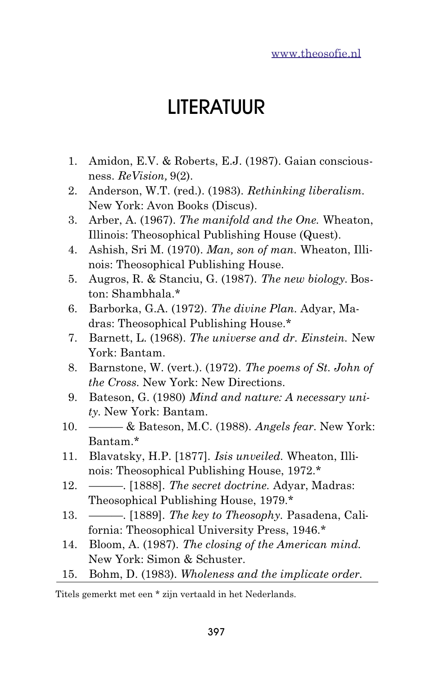## LITERATUUR

- 1. Amidon, E.V. & Roberts, E.J. (1987). Gaian consciousness. *ReVision,* 9(2).
- 2. Anderson, W.T. (red.). (1983). *Rethinking liberalism.* New York: Avon Books (Discus).
- 3. Arber, A. (1967). *The manifold and the One.* Wheaton, Illinois: Theosophical Publishing House (Quest).
- 4. Ashish, Sri M. (1970). *Man, son of man.* Wheaton, Illinois: Theosophical Publishing House.
- 5. Augros, R. & Stanciu, G. (1987). *The new biology.* Boston: Shambhala.\*
- 6. Barborka, G.A. (1972). *The divine Plan.* Adyar, Madras: Theosophical Publishing House.\*
- 7. Barnett, L. (1968). *The universe and dr. Einstein.* New York: Bantam.
- 8. Barnstone, W. (vert.). (1972). *The poems of St. John of the Cross.* New York: New Directions.
- 9. Bateson, G. (1980) *Mind and nature: A necessary unity.* New York: Bantam.
- 10. ——— & Bateson, M.C. (1988). *Angels fear.* New York: Bantam.\*
- 11. Blavatsky, H.P. [1877]. *Isis unveiled.* Wheaton, Illinois: Theosophical Publishing House, 1972.\*
- 12. ———. [1888]. *The secret doctrine.* Adyar, Madras: Theosophical Publishing House, 1979.\*
- 13. ———. [1889]. *The key to Theosophy.* Pasadena, California: Theosophical University Press, 1946.\*
- 14. Bloom, A. (1987). *The closing of the American mind.* New York: Simon & Schuster.
- 15. Bohm, D. (1983). *Wholeness and the implicate order.*

Titels gemerkt met een \* zijn vertaald in het Nederlands.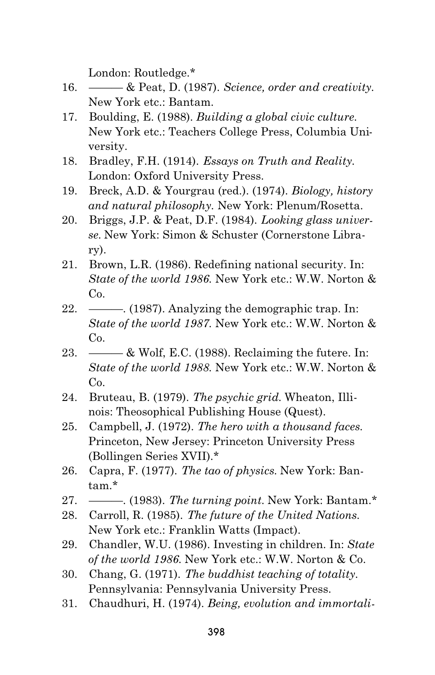London: Routledge.\*

- 16. ——— & Peat, D. (1987). *Science, order and creativity.* New York etc.: Bantam.
- 17. Boulding, E. (1988). *Building a global civic culture.* New York etc.: Teachers College Press, Columbia University.
- 18. Bradley, F.H. (1914). *Essays on Truth and Reality.* London: Oxford University Press.
- 19. Breck, A.D. & Yourgrau (red.). (1974). *Biology, history and natural philosophy.* New York: Plenum/Rosetta.
- 20. Briggs, J.P. & Peat, D.F. (1984). *Looking glass universe.* New York: Simon & Schuster (Cornerstone Library).
- 21. Brown, L.R. (1986). Redefining national security. In: *State of the world 1986.* New York etc.: W.W. Norton & C<sub>o</sub>.
- 22. ———. (1987). Analyzing the demographic trap. In: *State of the world 1987.* New York etc.: W.W. Norton & Co.
- 23.  $\frac{1}{2}$  Wolf, E.C. (1988). Reclaiming the futere. In: *State of the world 1988.* New York etc.: W.W. Norton &  $Co<sub>c</sub>$
- 24. Bruteau, B. (1979). *The psychic grid.* Wheaton, Illinois: Theosophical Publishing House (Quest).
- 25. Campbell, J. (1972). *The hero with a thousand faces.* Princeton, New Jersey: Princeton University Press (Bollingen Series XVII).\*
- 26. Capra, F. (1977). *The tao of physics.* New York: Bantam.\*
- 27. ———. (1983). *The turning point.* New York: Bantam.\*
- 28. Carroll, R. (1985). *The future of the United Nations.* New York etc.: Franklin Watts (Impact).
- 29. Chandler, W.U. (1986). Investing in children. In: *State of the world 1986.* New York etc.: W.W. Norton & Co.
- 30. Chang, G. (1971). *The buddhist teaching of totality.* Pennsylvania: Pennsylvania University Press.
- 31. Chaudhuri, H. (1974). *Being, evolution and immortali-*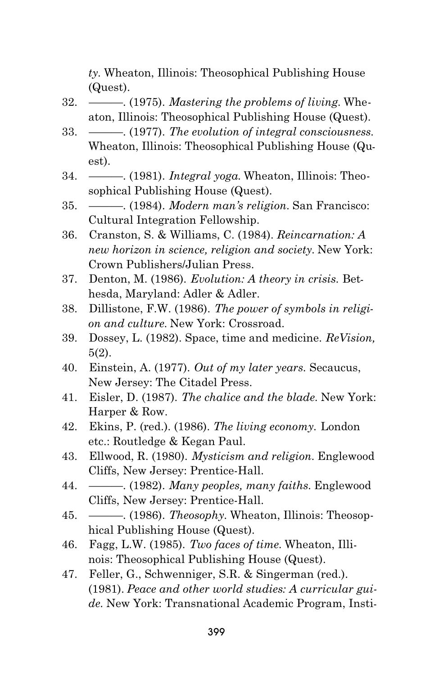*ty.* Wheaton, Illinois: Theosophical Publishing House (Quest).

- 32. ———. (1975). *Mastering the problems of living.* Wheaton, Illinois: Theosophical Publishing House (Quest).
- 33. ———. (1977). *The evolution of integral consciousness.* Wheaton, Illinois: Theosophical Publishing House (Quest).
- 34. ———. (1981). *Integral yoga.* Wheaton, Illinois: Theosophical Publishing House (Quest).
- 35. ———. (1984). *Modern man's religion.* San Francisco: Cultural Integration Fellowship.
- 36. Cranston, S. & Williams, C. (1984). *Reincarnation: A new horizon in science, religion and society.* New York: Crown Publishers/Julian Press.
- 37. Denton, M. (1986). *Evolution: A theory in crisis.* Bethesda, Maryland: Adler & Adler.
- 38. Dillistone, F.W. (1986). *The power of symbols in religion and culture.* New York: Crossroad.
- 39. Dossey, L. (1982). Space, time and medicine. *ReVision,* 5(2).
- 40. Einstein, A. (1977). *Out of my later years.* Secaucus, New Jersey: The Citadel Press.
- 41. Eisler, D. (1987). *The chalice and the blade.* New York: Harper & Row.
- 42. Ekins, P. (red.). (1986). *The living economy.* London etc.: Routledge & Kegan Paul.
- 43. Ellwood, R. (1980). *Mysticism and religion.* Englewood Cliffs, New Jersey: Prentice-Hall.
- 44. ———. (1982). *Many peoples, many faiths.* Englewood Cliffs, New Jersey: Prentice-Hall.
- 45. ———. (1986). *Theosophy.* Wheaton, Illinois: Theosophical Publishing House (Quest).
- 46. Fagg, L.W. (1985). *Two faces of time.* Wheaton, Illinois: Theosophical Publishing House (Quest).
- 47. Feller, G., Schwenniger, S.R. & Singerman (red.). (1981). *Peace and other world studies: A curricular guide.* New York: Transnational Academic Program, Insti-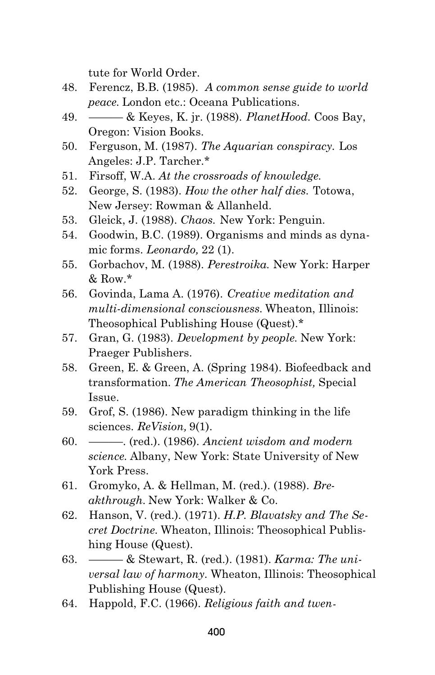tute for World Order.

- 48. Ferencz, B.B. (1985). *A common sense guide to world peace.* London etc.: Oceana Publications.
- 49. ——— & Keyes, K. jr. (1988). *PlanetHood.* Coos Bay, Oregon: Vision Books.
- 50. Ferguson, M. (1987). *The Aquarian conspiracy.* Los Angeles: J.P. Tarcher.\*
- 51. Firsoff, W.A. *At the crossroads of knowledge.*
- 52. George, S. (1983). *How the other half dies.* Totowa, New Jersey: Rowman & Allanheld.
- 53. Gleick, J. (1988). *Chaos.* New York: Penguin.
- 54. Goodwin, B.C. (1989). Organisms and minds as dynamic forms. *Leonardo,* 22 (1).
- 55. Gorbachov, M. (1988). *Perestroika.* New York: Harper  $&$  Row. $*$
- 56. Govinda, Lama A. (1976). *Creative meditation and multi-dimensional consciousness.* Wheaton, Illinois: Theosophical Publishing House (Quest).\*
- 57. Gran, G. (1983). *Development by people.* New York: Praeger Publishers.
- 58. Green, E. & Green, A. (Spring 1984). Biofeedback and transformation. *The American Theosophist,* Special Issue.
- 59. Grof, S. (1986). New paradigm thinking in the life sciences. *ReVision,* 9(1).
- 60. ———. (red.). (1986). *Ancient wisdom and modern science.* Albany, New York: State University of New York Press.
- 61. Gromyko, A. & Hellman, M. (red.). (1988). *Breakthrough.* New York: Walker & Co.
- 62. Hanson, V. (red.). (1971). *H.P. Blavatsky and The Secret Doctrine.* Wheaton, Illinois: Theosophical Publishing House (Quest).
- 63. ——— & Stewart, R. (red.). (1981). *Karma: The universal law of harmony.* Wheaton, Illinois: Theosophical Publishing House (Quest).
- 64. Happold, F.C. (1966). *Religious faith and twen-*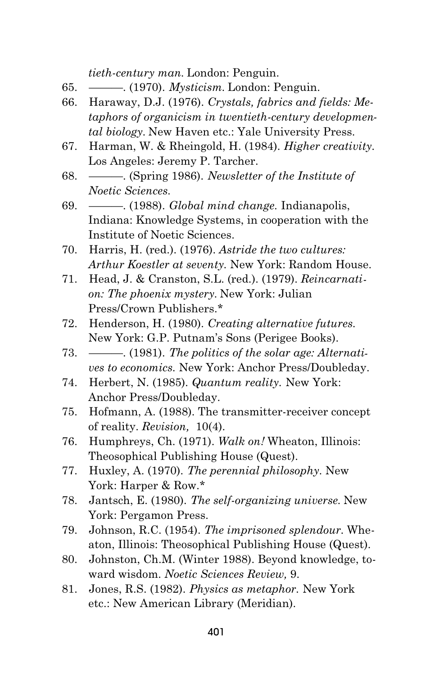*tieth-century man.* London: Penguin.

- 65. ———. (1970). *Mysticism.* London: Penguin.
- 66. Haraway, D.J. (1976). *Crystals, fabrics and fields: Metaphors of organicism in twentieth-century developmental biology.* New Haven etc.: Yale University Press.
- 67. Harman, W. & Rheingold, H. (1984). *Higher creativity.* Los Angeles: Jeremy P. Tarcher.
- 68. ———. (Spring 1986). *Newsletter of the Institute of Noetic Sciences.*
- 69. ———. (1988). *Global mind change.* Indianapolis, Indiana: Knowledge Systems, in cooperation with the Institute of Noetic Sciences.
- 70. Harris, H. (red.). (1976). *Astride the two cultures: Arthur Koestler at seventy.* New York: Random House.
- 71. Head, J. & Cranston, S.L. (red.). (1979). *Reincarnation: The phoenix mystery.* New York: Julian Press/Crown Publishers.\*
- 72. Henderson, H. (1980). *Creating alternative futures.* New York: G.P. Putnam's Sons (Perigee Books).
- 73. ———. (1981). *The politics of the solar age: Alternatives to economics.* New York: Anchor Press/Doubleday.
- 74. Herbert, N. (1985). *Quantum reality.* New York: Anchor Press/Doubleday.
- 75. Hofmann, A. (1988). The transmitter-receiver concept of reality. *Revision,* 10(4).
- 76. Humphreys, Ch. (1971). *Walk on!* Wheaton, Illinois: Theosophical Publishing House (Quest).
- 77. Huxley, A. (1970). *The perennial philosophy.* New York: Harper & Row.\*
- 78. Jantsch, E. (1980). *The self-organizing universe.* New York: Pergamon Press.
- 79. Johnson, R.C. (1954). *The imprisoned splendour.* Wheaton, Illinois: Theosophical Publishing House (Quest).
- 80. Johnston, Ch.M. (Winter 1988). Beyond knowledge, toward wisdom. *Noetic Sciences Review,* 9.
- 81. Jones, R.S. (1982). *Physics as metaphor.* New York etc.: New American Library (Meridian).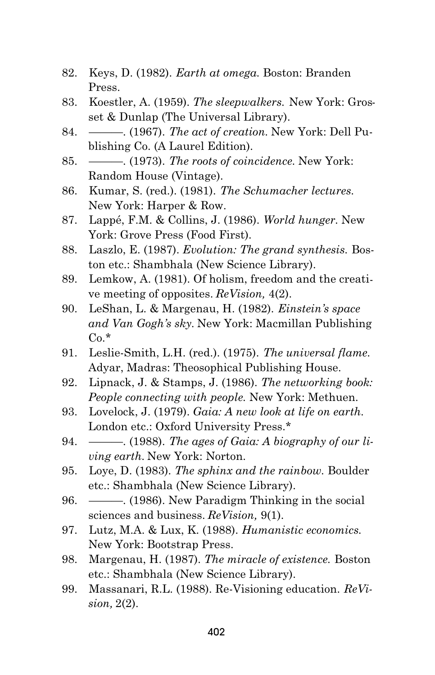- 82. Keys, D. (1982). *Earth at omega.* Boston: Branden Press.
- 83. Koestler, A. (1959). *The sleepwalkers.* New York: Grosset & Dunlap (The Universal Library).
- 84. ———. (1967). *The act of creation.* New York: Dell Publishing Co. (A Laurel Edition).
- 85. ———. (1973). *The roots of coincidence.* New York: Random House (Vintage).
- 86. Kumar, S. (red.). (1981). *The Schumacher lectures.* New York: Harper & Row.
- 87. Lappé, F.M. & Collins, J. (1986). *World hunger.* New York: Grove Press (Food First).
- 88. Laszlo, E. (1987). *Evolution: The grand synthesis.* Boston etc.: Shambhala (New Science Library).
- 89. Lemkow, A. (1981). Of holism, freedom and the creative meeting of opposites. *ReVision,* 4(2).
- 90. LeShan, L. & Margenau, H. (1982). *Einstein's space and Van Gogh's sky.* New York: Macmillan Publishing  $Co.*$
- 91. Leslie-Smith, L.H. (red.). (1975). *The universal flame.* Adyar, Madras: Theosophical Publishing House.
- 92. Lipnack, J. & Stamps, J. (1986). *The networking book: People connecting with people.* New York: Methuen.
- 93. Lovelock, J. (1979). *Gaia: A new look at life on earth.* London etc.: Oxford University Press.\*
- 94. ———. (1988). *The ages of Gaia: A biography of our living earth.* New York: Norton.
- 95. Loye, D. (1983). *The sphinx and the rainbow.* Boulder etc.: Shambhala (New Science Library).
- 96. ———. (1986). New Paradigm Thinking in the social sciences and business. *ReVision,* 9(1).
- 97. Lutz, M.A. & Lux, K. (1988). *Humanistic economics.* New York: Bootstrap Press.
- 98. Margenau, H. (1987). *The miracle of existence.* Boston etc.: Shambhala (New Science Library).
- 99. Massanari, R.L. (1988). Re-Visioning education. *ReVision,* 2(2).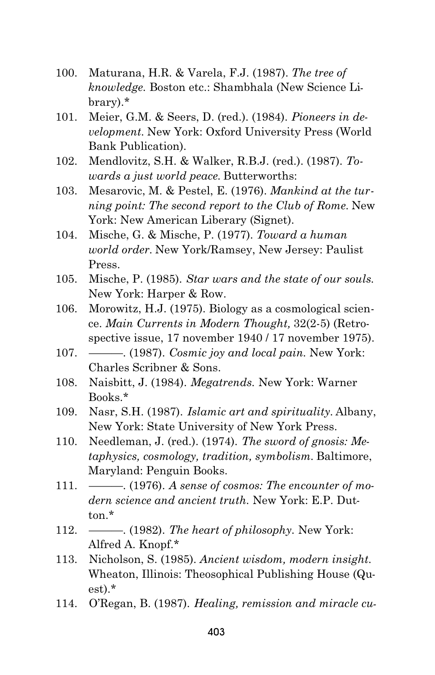- 100. Maturana, H.R. & Varela, F.J. (1987). *The tree of knowledge.* Boston etc.: Shambhala (New Science Library).\*
- 101. Meier, G.M. & Seers, D. (red.). (1984). *Pioneers in development.* New York: Oxford University Press (World Bank Publication).
- 102. Mendlovitz, S.H. & Walker, R.B.J. (red.). (1987). *Towards a just world peace.* Butterworths:
- 103. Mesarovic, M. & Pestel, E. (1976). *Mankind at the turning point: The second report to the Club of Rome.* New York: New American Liberary (Signet).
- 104. Mische, G. & Mische, P. (1977). *Toward a human world order.* New York/Ramsey, New Jersey: Paulist Press.
- 105. Mische, P. (1985). *Star wars and the state of our souls.* New York: Harper & Row.
- 106. Morowitz, H.J. (1975). Biology as a cosmological science. *Main Currents in Modern Thought,* 32(2-5) (Retrospective issue, 17 november 1940 / 17 november 1975).
- 107. ———. (1987). *Cosmic joy and local pain.* New York: Charles Scribner & Sons.
- 108. Naisbitt, J. (1984). *Megatrends.* New York: Warner Books.\*
- 109. Nasr, S.H. (1987). *Islamic art and spirituality.* Albany, New York: State University of New York Press.
- 110. Needleman, J. (red.). (1974). *The sword of gnosis: Metaphysics, cosmology, tradition, symbolism.* Baltimore, Maryland: Penguin Books.
- 111. ———. (1976). *A sense of cosmos: The encounter of modern science and ancient truth.* New York: E.P. Dutton $*$
- 112. ———. (1982). *The heart of philosophy.* New York: Alfred A. Knopf.\*
- 113. Nicholson, S. (1985). *Ancient wisdom, modern insight.* Wheaton, Illinois: Theosophical Publishing House (Quest).\*
- 114. O'Regan, B. (1987). *Healing, remission and miracle cu-*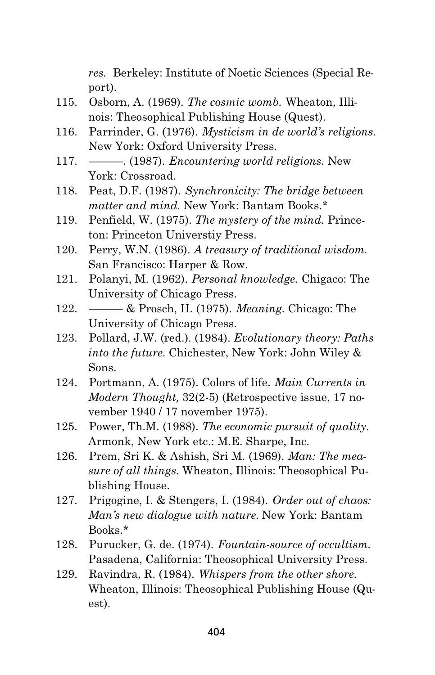*res.* Berkeley: Institute of Noetic Sciences (Special Report).

- 115. Osborn, A. (1969). *The cosmic womb.* Wheaton, Illinois: Theosophical Publishing House (Quest).
- 116. Parrinder, G. (1976). *Mysticism in de world's religions.* New York: Oxford University Press.
- 117. ———. (1987). *Encountering world religions.* New York: Crossroad.
- 118. Peat, D.F. (1987). *Synchronicity: The bridge between matter and mind.* New York: Bantam Books.\*
- 119. Penfield, W. (1975). *The mystery of the mind.* Princeton: Princeton Universtiy Press.
- 120. Perry, W.N. (1986). *A treasury of traditional wisdom.* San Francisco: Harper & Row.
- 121. Polanyi, M. (1962). *Personal knowledge.* Chigaco: The University of Chicago Press.
- 122. ——— & Prosch, H. (1975). *Meaning.* Chicago: The University of Chicago Press.
- 123. Pollard, J.W. (red.). (1984). *Evolutionary theory: Paths into the future.* Chichester, New York: John Wiley & Sons.
- 124. Portmann, A. (1975). Colors of life. *Main Currents in Modern Thought,* 32(2-5) (Retrospective issue, 17 november 1940 / 17 november 1975).
- 125. Power, Th.M. (1988). *The economic pursuit of quality.* Armonk, New York etc.: M.E. Sharpe, Inc.
- 126. Prem, Sri K. & Ashish, Sri M. (1969). *Man: The measure of all things.* Wheaton, Illinois: Theosophical Publishing House.
- 127. Prigogine, I. & Stengers, I. (1984). *Order out of chaos: Man's new dialogue with nature.* New York: Bantam Books.\*
- 128. Purucker, G. de. (1974). *Fountain-source of occultism.* Pasadena, California: Theosophical University Press.
- 129. Ravindra, R. (1984). *Whispers from the other shore.* Wheaton, Illinois: Theosophical Publishing House (Quest).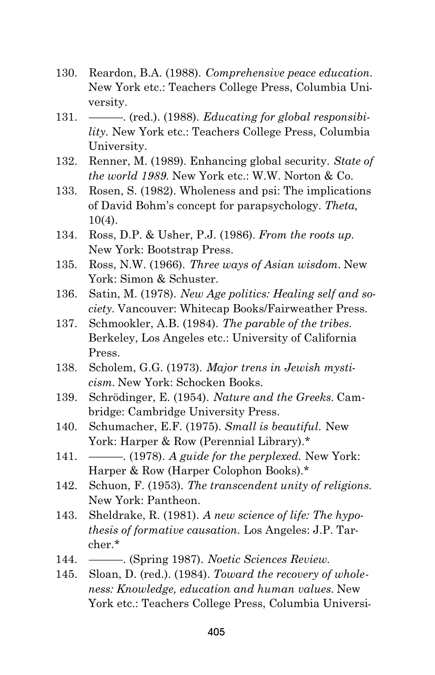- 130. Reardon, B.A. (1988). *Comprehensive peace education.* New York etc.: Teachers College Press, Columbia University.
- 131. ———. (red.). (1988). *Educating for global responsibility.* New York etc.: Teachers College Press, Columbia University.
- 132. Renner, M. (1989). Enhancing global security. *State of the world 1989.* New York etc.: W.W. Norton & Co.
- 133. Rosen, S. (1982). Wholeness and psi: The implications of David Bohm's concept for parapsychology. *Theta,* 10(4).
- 134. Ross, D.P. & Usher, P.J. (1986). *From the roots up.* New York: Bootstrap Press.
- 135. Ross, N.W. (1966). *Three ways of Asian wisdom.* New York: Simon & Schuster.
- 136. Satin, M. (1978). *New Age politics: Healing self and society.* Vancouver: Whitecap Books/Fairweather Press.
- 137. Schmookler, A.B. (1984). *The parable of the tribes.* Berkeley, Los Angeles etc.: University of California Press.
- 138. Scholem, G.G. (1973). *Major trens in Jewish mysticism.* New York: Schocken Books.
- 139. Schrödinger, E. (1954). *Nature and the Greeks.* Cambridge: Cambridge University Press.
- 140. Schumacher, E.F. (1975). *Small is beautiful.* New York: Harper & Row (Perennial Library).\*
- 141. ———. (1978). *A guide for the perplexed.* New York: Harper & Row (Harper Colophon Books).\*
- 142. Schuon, F. (1953). *The transcendent unity of religions.* New York: Pantheon.
- 143. Sheldrake, R. (1981). *A new science of life: The hypothesis of formative causation.* Los Angeles: J.P. Tarcher.\*
- 144. ———. (Spring 1987). *Noetic Sciences Review.*
- 145. Sloan, D. (red.). (1984). *Toward the recovery of wholeness: Knowledge, education and human values.* New York etc.: Teachers College Press, Columbia Universi-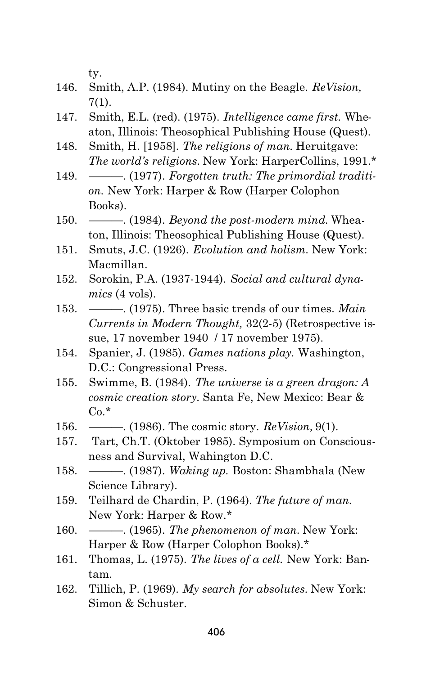ty.

- 146. Smith, A.P. (1984). Mutiny on the Beagle. *ReVision,* 7(1).
- 147. Smith, E.L. (red). (1975). *Intelligence came first.* Wheaton, Illinois: Theosophical Publishing House (Quest).
- 148. Smith, H. [1958]. *The religions of man.* Heruitgave: *The world's religions.* New York: HarperCollins, 1991.\*
- 149. ———. (1977). *Forgotten truth: The primordial tradition.* New York: Harper & Row (Harper Colophon Books).
- 150. ———. (1984). *Beyond the post-modern mind.* Wheaton, Illinois: Theosophical Publishing House (Quest).
- 151. Smuts, J.C. (1926). *Evolution and holism.* New York: Macmillan.
- 152. Sorokin, P.A. (1937-1944). *Social and cultural dynamics* (4 vols).
- 153. ———. (1975). Three basic trends of our times. *Main Currents in Modern Thought,* 32(2-5) (Retrospective issue, 17 november 1940 / 17 november 1975).
- 154. Spanier, J. (1985). *Games nations play.* Washington, D.C.: Congressional Press.
- 155. Swimme, B. (1984). *The universe is a green dragon: A cosmic creation story.* Santa Fe, New Mexico: Bear &  $Co.*$
- 156. ———. (1986). The cosmic story. *ReVision,* 9(1).
- 157. Tart, Ch.T. (Oktober 1985). Symposium on Consciousness and Survival, Wahington D.C.
- 158. ———. (1987). *Waking up.* Boston: Shambhala (New Science Library).
- 159. Teilhard de Chardin, P. (1964). *The future of man.* New York: Harper & Row.\*
- 160. ———. (1965). *The phenomenon of man.* New York: Harper & Row (Harper Colophon Books).\*
- 161. Thomas, L. (1975). *The lives of a cell.* New York: Bantam.
- 162. Tillich, P. (1969). *My search for absolutes.* New York: Simon & Schuster.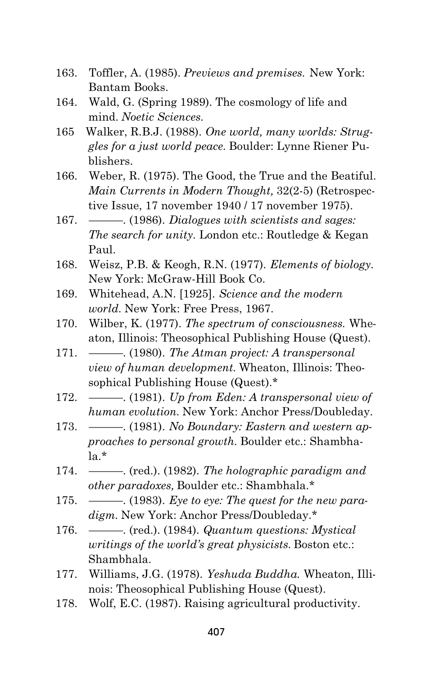- 163. Toffler, A. (1985). *Previews and premises.* New York: Bantam Books.
- 164. Wald, G. (Spring 1989). The cosmology of life and mind. *Noetic Sciences.*
- 165 Walker, R.B.J. (1988). *One world, many worlds: Struggles for a just world peace.* Boulder: Lynne Riener Publishers.
- 166. Weber, R. (1975). The Good, the True and the Beatiful. *Main Currents in Modern Thought,* 32(2-5) (Retrospective Issue, 17 november 1940 / 17 november 1975).
- 167. ———. (1986). *Dialogues with scientists and sages: The search for unity.* London etc.: Routledge & Kegan Paul.
- 168. Weisz, P.B. & Keogh, R.N. (1977). *Elements of biology.* New York: McGraw-Hill Book Co.
- 169. Whitehead, A.N. [1925]. *Science and the modern world.* New York: Free Press, 1967.
- 170. Wilber, K. (1977). *The spectrum of consciousness.* Wheaton, Illinois: Theosophical Publishing House (Quest).
- 171. ———. (1980). *The Atman project: A transpersonal view of human development.* Wheaton, Illinois: Theosophical Publishing House (Quest).\*
- 172. ———. (1981). *Up from Eden: A transpersonal view of human evolution.* New York: Anchor Press/Doubleday.
- 173. ———. (1981). *No Boundary: Eastern and western approaches to personal growth.* Boulder etc.: Shambhala.\*
- 174. ———. (red.). (1982). *The holographic paradigm and other paradoxes,* Boulder etc.: Shambhala.\*
- 175. ———. (1983). *Eye to eye: The quest for the new paradigm.* New York: Anchor Press/Doubleday.\*
- 176. ———. (red.). (1984). *Quantum questions: Mystical writings of the world's great physicists.* Boston etc.: Shambhala.
- 177. Williams, J.G. (1978). *Yeshuda Buddha.* Wheaton, Illinois: Theosophical Publishing House (Quest).
- 178. Wolf, E.C. (1987). Raising agricultural productivity.